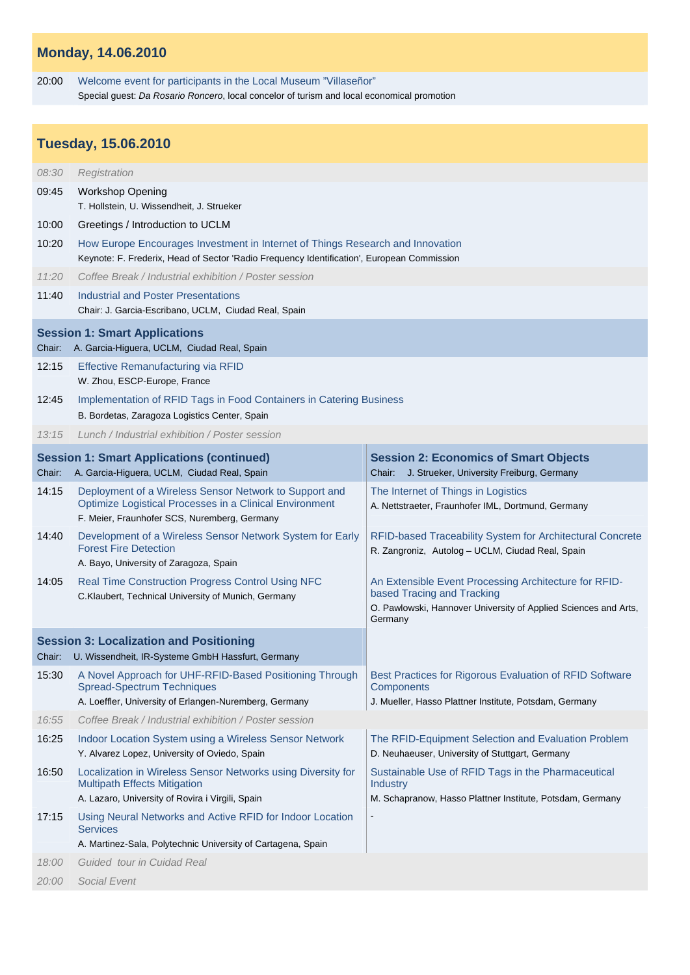## **Monday, 14.06.2010**

20:00 Welcome event for participants in the Local Museum "Villaseñor" Special guest: *Da Rosario Roncero*, local concelor of turism and local economical promotion

## **Tuesday, 15.06.2010**

| 08:30                                                                                                         | Registration                                                                                                                                                                 |                                                                                                                                                                   |  |
|---------------------------------------------------------------------------------------------------------------|------------------------------------------------------------------------------------------------------------------------------------------------------------------------------|-------------------------------------------------------------------------------------------------------------------------------------------------------------------|--|
| 09:45                                                                                                         | <b>Workshop Opening</b><br>T. Hollstein, U. Wissendheit, J. Strueker                                                                                                         |                                                                                                                                                                   |  |
| 10:00                                                                                                         | Greetings / Introduction to UCLM                                                                                                                                             |                                                                                                                                                                   |  |
| 10:20                                                                                                         | How Europe Encourages Investment in Internet of Things Research and Innovation<br>Keynote: F. Frederix, Head of Sector 'Radio Frequency Identification', European Commission |                                                                                                                                                                   |  |
| 11:20                                                                                                         | Coffee Break / Industrial exhibition / Poster session                                                                                                                        |                                                                                                                                                                   |  |
| 11:40                                                                                                         | Industrial and Poster Presentations<br>Chair: J. Garcia-Escribano, UCLM, Ciudad Real, Spain                                                                                  |                                                                                                                                                                   |  |
| <b>Session 1: Smart Applications</b><br>A. Garcia-Higuera, UCLM, Ciudad Real, Spain<br>Chair:                 |                                                                                                                                                                              |                                                                                                                                                                   |  |
| 12:15                                                                                                         | <b>Effective Remanufacturing via RFID</b><br>W. Zhou, ESCP-Europe, France                                                                                                    |                                                                                                                                                                   |  |
| 12:45                                                                                                         | Implementation of RFID Tags in Food Containers in Catering Business                                                                                                          |                                                                                                                                                                   |  |
|                                                                                                               | B. Bordetas, Zaragoza Logistics Center, Spain                                                                                                                                |                                                                                                                                                                   |  |
| 13:15                                                                                                         | Lunch / Industrial exhibition / Poster session                                                                                                                               |                                                                                                                                                                   |  |
| Chair:                                                                                                        | <b>Session 1: Smart Applications (continued)</b><br>A. Garcia-Higuera, UCLM, Ciudad Real, Spain                                                                              | <b>Session 2: Economics of Smart Objects</b><br>Chair: J. Strueker, University Freiburg, Germany                                                                  |  |
| 14:15                                                                                                         | Deployment of a Wireless Sensor Network to Support and<br>Optimize Logistical Processes in a Clinical Environment<br>F. Meier, Fraunhofer SCS, Nuremberg, Germany            | The Internet of Things in Logistics<br>A. Nettstraeter, Fraunhofer IML, Dortmund, Germany                                                                         |  |
| 14:40                                                                                                         | Development of a Wireless Sensor Network System for Early<br><b>Forest Fire Detection</b><br>A. Bayo, University of Zaragoza, Spain                                          | RFID-based Traceability System for Architectural Concrete<br>R. Zangroniz, Autolog - UCLM, Ciudad Real, Spain                                                     |  |
| 14:05                                                                                                         | Real Time Construction Progress Control Using NFC<br>C.Klaubert, Technical University of Munich, Germany                                                                     | An Extensible Event Processing Architecture for RFID-<br>based Tracing and Tracking<br>O. Pawlowski, Hannover University of Applied Sciences and Arts,<br>Germany |  |
| <b>Session 3: Localization and Positioning</b><br>U. Wissendheit, IR-Systeme GmbH Hassfurt, Germany<br>Chair: |                                                                                                                                                                              |                                                                                                                                                                   |  |
| 15:30                                                                                                         | A Novel Approach for UHF-RFID-Based Positioning Through<br><b>Spread-Spectrum Techniques</b><br>A. Loeffler, University of Erlangen-Nuremberg, Germany                       | Best Practices for Rigorous Evaluation of RFID Software<br><b>Components</b><br>J. Mueller, Hasso Plattner Institute, Potsdam, Germany                            |  |
| 16:55                                                                                                         | Coffee Break / Industrial exhibition / Poster session                                                                                                                        |                                                                                                                                                                   |  |
| 16:25                                                                                                         | Indoor Location System using a Wireless Sensor Network<br>Y. Alvarez Lopez, University of Oviedo, Spain                                                                      | The RFID-Equipment Selection and Evaluation Problem<br>D. Neuhaeuser, University of Stuttgart, Germany                                                            |  |
| 16:50                                                                                                         | Localization in Wireless Sensor Networks using Diversity for<br><b>Multipath Effects Mitigation</b><br>A. Lazaro, University of Rovira i Virgili, Spain                      | Sustainable Use of RFID Tags in the Pharmaceutical<br><b>Industry</b><br>M. Schapranow, Hasso Plattner Institute, Potsdam, Germany                                |  |
| 17:15                                                                                                         | Using Neural Networks and Active RFID for Indoor Location<br><b>Services</b><br>A. Martinez-Sala, Polytechnic University of Cartagena, Spain                                 |                                                                                                                                                                   |  |
| 18:00                                                                                                         | Guided tour in Cuidad Real                                                                                                                                                   |                                                                                                                                                                   |  |
| 20:00                                                                                                         | Social Event                                                                                                                                                                 |                                                                                                                                                                   |  |